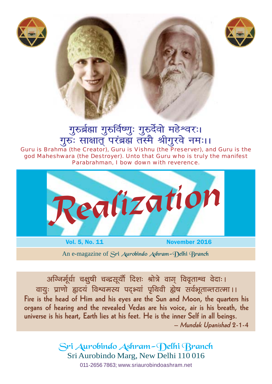





Guru is Brahma (the Creator), Guru is Vishnu (the Preserver), and Guru is the god Maheshwara (the Destroyer). Unto that Guru who is truly the manifest Parabrahman, I bow down with reverence.



An e-magazine of Sri Aurobindo Ashram-Delhi Branch

अग्निर्मूर्धा चक्षूषी चन्द्रसूर्यौ दिशः श्रोत्रे वाग् विवृताश्च वेदाः। वायुः प्राणो ह्यदयं विश्वमस्य पदृभ्यां प्रथिवी ह्येष सर्वभूतान्तरात्मा।। **Fire is the head of Him and his eyes are the Sun and Moon, the quarters his organs of hearing and the revealed Vedas are his voice, air is his breath, the universe is his heart, Earth lies at his feet. He is the inner Self in all beings. – Mundak Upanishad 2-1-4**

> Sri Aurobindo Ashram-Delhi Branch Sri Aurobindo Marg, New Delhi 110 016

011-2656 7863; www.sriaurobindoashram.net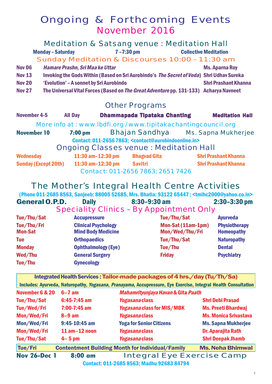# Ongoing & Forthcoming Events November 2016

|               | Meditation & Satsang venue: Meditation Hall |               |                                                                                          |  |
|---------------|---------------------------------------------|---------------|------------------------------------------------------------------------------------------|--|
|               | <b>Monday - Saturday</b>                    | $7 - 7:30$ pm | <b>Collective Meditation</b>                                                             |  |
|               |                                             |               | Sunday Meditation & Discourses 10:00 - 11:30 am                                          |  |
| <b>Nov 06</b> | Hamare Prashn, Sri Maa ke Uttar             |               | <b>Ms. Aparna Roy</b>                                                                    |  |
| <b>Nov 13</b> |                                             |               | Invoking the Gods Within (Based on Sri Aurobindo's The Secret of Veda) Shri Udhav Sureka |  |
| <b>Nov 20</b> | 'Evolution' - A sonnet by Sri Aurobindo     |               | <b>Shri Prashant Khanna</b>                                                              |  |
| <b>Nov 27</b> |                                             |               | The Universal Vital Forces (Based on The Great Adventure pp. 131-133) Acharya Navneet    |  |

### Other Programs

| <b>November 4-5</b>                    | <b>All Day</b>    |                   | <b>Dhammapada Tipataka Chanting</b>                                               | <b>Meditation Hall</b>             |
|----------------------------------------|-------------------|-------------------|-----------------------------------------------------------------------------------|------------------------------------|
|                                        |                   |                   | More info at: www.lbdfi.org/www.tipitakachantingcouncil.org                       |                                    |
| <b>November 10</b>                     | $7:00 \text{ pm}$ |                   |                                                                                   | Bhajan Sandhya Ms. Sapna Mukherjee |
|                                        |                   |                   | Contact: 011-2656 7863; <contact@aurobindoonline.in></contact@aurobindoonline.in> |                                    |
|                                        |                   |                   | <b>Ongoing Classes venue: Meditation Hall</b>                                     |                                    |
| <b>Wednesday</b>                       |                   | 11:30 am-12:30 pm | <b>Bhagvad Gita</b>                                                               | <b>Shri Prashant Khanna</b>        |
| Sunday (Except 20th) 11:30 am-12:30 pm |                   |                   | <b>Savitri</b>                                                                    | <b>Shri Prashant Khanna</b>        |
|                                        |                   |                   | Contact: 011-2656 7863; 2651 7426                                                 |                                    |

# The Mother's Integral Health Centre Activities

(Phone 011-2685 8563, Sanjeeb: 88005 52685, Mrs. Bhatia: 93122 65447 ; <tmihc2000@yahoo.co.in> General O.P.D. Daily 8:30–9:30 am 2:30–3:30 pm Speciality Clinics – By Appointment Only

| Tue/Thu/Sat    | <b>Accupressure</b>        | Tue/Thu/Sat        | <b>Ayurveda</b>      |
|----------------|----------------------------|--------------------|----------------------|
| Tue/Thu/Fri    | <b>Clinical Psychology</b> | Mon-Sat (11am-1pm) | <b>Physiotherapy</b> |
| <b>Mon-Sat</b> | <b>Mind Body Medicine</b>  | Mon/Wed/Thu/Fri    | <b>Homeopathy</b>    |
| <b>Tue</b>     | <b>Orthopaedics</b>        | Tue/Thu/Sat        | <b>Naturopathy</b>   |
| <b>Monday</b>  | <b>Ophthalmology (Eye)</b> | Tue/Thu            | <b>Dental</b>        |
| Wed/Thu        | <b>General Surgery</b>     | <b>Friday</b>      | <b>Psychiatry</b>    |
| Tue/Thu        | <b>Gynecology</b>          |                    |                      |

Integrated Health Services : Tailor-made packages of 4 hrs./day (Tu/Th/Sa) Includes: Ayurveda, Naturopathy, Yogasana, Pranayama, Accupressure, Eye Exercise, Integral Health Consultation

| November 6 & 20     | $6 - 7$ am         | Mahamrityunjaya Havan & Gita Paath                      |                              |
|---------------------|--------------------|---------------------------------------------------------|------------------------------|
| Tue/Thu/Sat         | $6:45-7:45$ am     | <b>Yogasanaclass</b>                                    | <b>Shri Debi Prasad</b>      |
| Tue/Wed/Fri         | $7:00-7:45$ am     | Yogasana class for MIS/MBK                              | <b>Ms. Preeti Bhardwaj</b>   |
| Mon/Wed/Fri         | $8-9$ am           | <b>Yogasanaclass</b>                                    | <b>Ms. Monica Srivastava</b> |
| Mon/Wed/Fri         | $9:45-10:45$ am    | <b>Yoga for Senior Citizens</b>                         | <b>Ms. Sapna Mukherjee</b>   |
| Mon/Wed/Fri         | $11$ am $-12$ noon | <b>Yogasanaclass</b>                                    | Dr. Aparajita Rath           |
| Tue/Thu/Sat         | $4 - 5$ pm         | <b>Yogasanaclass</b>                                    | <b>Shri Deepak Jhamb</b>     |
| Tue/Fri             |                    | <b>Contentment Building Month for Individual/Family</b> | <b>Ms. Neha Bhimwal</b>      |
| <b>Nov 26-Dec 1</b> | $8:00$ am          | Integral Eye Exercise Camp                              |                              |

Contact: 011-2685 8563; Madhu 92683 84794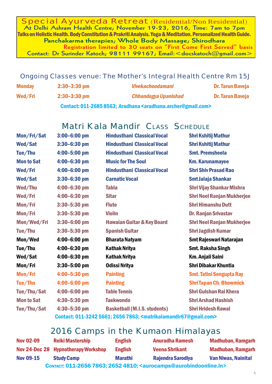Special Ayurveda Retreat (Residential/Non Residential) **At Delhi Ashram Health Centre; November 19-23, 2016, Time: 7am to 7pm** Talks on Holistic Health. Body Constitution & Prakriti Analysis. Yoga & Meditation. Personalized Health Guide. **Panchakarma therapies; Whole Body Massage; Shirodhara Registration limited to 30 seats on "First Come First Served" basis Contact: Dr Surinder Katoch; 98111 99167; Email:<docskatoch@gmail.com>**

Ongoing Classes venue: The Mother's Integral Health Centre Rm 15J

| <b>Monday</b> | $2:30-3:30$ pm | Vivekachoodamani                                                                         | Dr. Tarun Baveja |
|---------------|----------------|------------------------------------------------------------------------------------------|------------------|
| Wed/Fri       | $2:30-3:30$ pm | Chhandogya Upanishad                                                                     | Dr. Tarun Baveja |
|               |                | Contact: 011-2685 8563; Aradhana <aradhana.archer@gmail.com></aradhana.archer@gmail.com> |                  |

# Matri Kala Mandir CLASS SCHEDULE

| Mon/Fri/Sat       | $3:00 - 6:00$ pm | <b>Hindusthani Classical Vocal</b>                                                             | <b>Shri Kshitij Mathur</b>        |
|-------------------|------------------|------------------------------------------------------------------------------------------------|-----------------------------------|
| Wed/Sat           | $3:30-6:30$ pm   | <b>Hindusthani Classical Vocal</b>                                                             | <b>Shri Kshitij Mathur</b>        |
| Tue/Thu           | $4:00 - 5:00$ pm | <b>Hindusthani Classical Vocal</b>                                                             | <b>Smt. Premsheela</b>            |
| <b>Mon to Sat</b> | $4:00 - 6:30$ pm | <b>Music for The Soul</b>                                                                      | <b>Km. Karunamayee</b>            |
| Wed/Fri           | $4:00 - 6:00$ pm | <b>Hindusthani Classical Vocal</b>                                                             | <b>Shri Shiv Prasad Rao</b>       |
| Wed/Sat           | $3:30 - 6:30$ pm | <b>Carnatic Vocal</b>                                                                          | <b>Smt Jalaja Shankar</b>         |
| Wed/Thu           | $4:00 - 6:30$ pm | <b>Tabla</b>                                                                                   | <b>Shri Vijay Shankar Mishra</b>  |
| Wed/Fri           | 4:00-6:30 pm     | <b>Sitar</b>                                                                                   | <b>Shri Neel Ranjan Mukherjee</b> |
| Mon/Fri           | $3:30 - 5:30$ pm | <b>Flute</b>                                                                                   | <b>Shri Himanshu Dutt</b>         |
| Mon/Fri           | $3:30 - 5:30$ pm | <b>Violin</b>                                                                                  | <b>Dr. Ranjan Srivastav</b>       |
| Mon/Wed/Fri       | $3:30-6:00$ pm   | <b>Hawaian Guitar &amp; Key Board</b>                                                          | <b>Shri Neel Ranjan Mukherjee</b> |
| Tue/Thu           | $3:30 - 5:30$ pm | <b>Spanish Guitar</b>                                                                          | <b>Shri Jagdish Kumar</b>         |
| Mon/Wed           | $4:00 - 6:00$ pm | <b>Bharata Natyam</b>                                                                          | Smt Rajeswari Natarajan           |
| Tue/Thu           | $4:00 - 6:30$ pm | <b>Kathak Nritya</b>                                                                           | <b>Smt. Raksha Singh</b>          |
| Wed/Sat           | $4:00 - 6:30$ pm | <b>Kathak Nritya</b>                                                                           | <b>Km. Anjali Saini</b>           |
| Mon/Fri           | $3:30 - 5:00$ pm | <b>Odissi Nritya</b>                                                                           | <b>Shri Dibakar Khuntia</b>       |
| Mon/Fri           | $4:00 - 5:30$ pm | <b>Painting</b>                                                                                | <b>Smt. Tatini Sengupta Ray</b>   |
| Tue/Thu           | 4:00-6:00 pm     | <b>Painting</b>                                                                                | <b>Shri Tapan Ch. Bhowmick</b>    |
| Tue/Thu/Sat       | $4:00 - 6:00$ pm | <b>Table Tennis</b>                                                                            | <b>Shri Gulshan Rai Khera</b>     |
| <b>Mon to Sat</b> | $4:30 - 5:30$ pm | <b>Taekwondo</b>                                                                               | <b>Shri Arshad Hashish</b>        |
| Tue/Thu/Sat       | 4:30-5:30 pm     | <b>Basketball (M.I.S. students)</b>                                                            | <b>Shri Hridesh Rawal</b>         |
|                   |                  | Contact: 011-3242 5661; 2656 7863; <matrikalamandir67@gmail.com></matrikalamandir67@gmail.com> |                                   |

### 2016 Camps in the Kumaon Himalayas

| <b>Nov 02-09</b>                                                                                 | <b>Reiki Mastership</b>             | <b>English</b> | <b>Anuradha Ramesh</b> | <b>Madhuban, Ramgarh</b>   |
|--------------------------------------------------------------------------------------------------|-------------------------------------|----------------|------------------------|----------------------------|
|                                                                                                  | Nov 24-Dec 28 Hypnotherapy Workshop | <b>English</b> | <b>Veena Shrikant</b>  | <b>Madhuban, Ramgarh</b>   |
| <b>Nov 09-15</b>                                                                                 | <b>Study Camp</b>                   | <b>Marathi</b> | Rajendra Sarodiya      | <b>Van Niwas, Nainital</b> |
| CONTACT: 011-2656 7863; 2652 4810; <aurocamps@aurobindoonline.in></aurocamps@aurobindoonline.in> |                                     |                |                        |                            |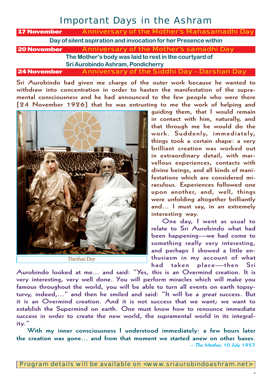# Important Days in the Ashram

| <b>17 November</b> | Anniversary of the Mother's Mahasamadhi Day                     |
|--------------------|-----------------------------------------------------------------|
|                    | Day of silent aspiration and invocation for her Presence within |
| <b>20 November</b> | Anniversary of the Mother's samadhi Day                         |
|                    | The Mother's body was laid to rest in the courtyard of          |
|                    | Sri Aurobindo Ashram, Pondicherry                               |
| <b>24 November</b> | Anniversary of the Siddhi Day - Darshan Day                     |
|                    |                                                                 |

**Sri Aurobindo had given me charge of the outer work because he wanted to withdraw into concentration in order to hasten the manifestation of the supramental consciousness and he had announced to the few people who were there [24 November 1926] that he was entrusting to me the work of helping and**



**guiding them, that I would remain in contact with him, naturally, and that through me he would do the work. Suddenly, immediately, things took a certain shape: a very brilliant creation was worked out in extraordinary detail, with marvellous experiences, contacts with divine beings, and all kinds of manifestations which are considered miraculous. Experiences followed one upon another, and, well, things were unfolding altogether brilliantly and... I must say, in an extremely interesting way.**

**One day, I went as usual to relate to Sri Aurobindo what had been happening—we had come to something really very interesting, and perhaps I showed a little enthusiasm in my account of what had taken place—then Sri**

**Aurobindo looked at me... and said: "Yes, this is an Overmind creation. It is very interesting, very well done. You will perform miracles which will make you famous throughout the world, you will be able to turn all events on earth topsyturvy, indeed,..." and then he smiled and said: "It will be a great success. But it is an Overmind creation. And it is not success that we want; we want to establish the Supermind on earth. One must know how to renounce immediate success in order to create the new world, the supramental world in its integrality."**

**With my inner consciousness I understood immediately: a few hours later the creation was gone... and from that moment we started anew on other bases. – The Mother, 10 July 1957**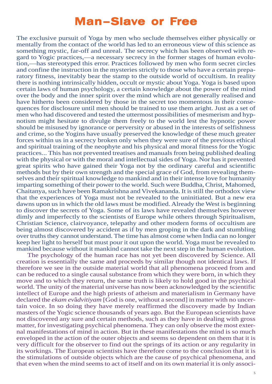# **Man–Slave or Free**

The exclusive pursuit of Yoga by men who seclude themselves either physically or mentally from the contact of the world has led to an erroneous view of this science as something mystic, far-off and unreal. The secrecy which has been observed with regard to Yogic practices,—a necessary secrecy in the former stages of human evolution,—has stereotyped this error. Practices followed by men who form secret circles and confine the instruction in the mysteries strictly to those who have a certain preparatory fitness, inevitably bear the stamp to the outside world of occultism. In reality there is nothing intrinsically hidden, occult or mystic about Yoga. Yoga is based upon certain laws of human psychology, a certain knowledge about the power of the mind over the body and the inner spirit over the mind which are not generally realised and have hitherto been considered by those in the secret too momentous in their consequences for disclosure until men should be trained to use them aright. Just as a set of men who had discovered and tested the uttermost possibilities of mesmerism and hypnotism might hesitate to divulge them freely to the world lest the hypnotic power should be misused by ignorance or perversity or abused in the interests of selfishness and crime, so the Yogins have usually preserved the knowledge of these much greater forces within us in a secrecy broken only when they were sure of the previous ethical and spiritual training of the neophyte and his physical and moral fitness for the Yogic practices... This has not prevented treatises and manuals from being published dealing with the physical or with the moral and intellectual sides of Yoga. Nor has it prevented great spirits who have gained their Yoga not by the ordinary careful and scientific methods but by their own strength and the special grace of God, from revealing themselves and their spiritual knowledge to mankind and in their intense love for humanity imparting something of their power to the world. Such were Buddha, Christ, Mahomed, Chaitanya, such have been Ramakrishna and Vivekananda. It is still the orthodox view that the experiences of Yoga must not be revealed to the uninitiated. But a new era dawns upon us in which the old laws must be modified. Already the West is beginning to discover the secrets of Yoga. Some of its laws have revealed themselves however dimly and imperfectly to the scientists of Europe while others through Spiritualism, Christian Science, clairvoyance, telepathy and other modern forms of occultism are being almost discovered by accident as if by men groping in the dark and stumbling over truths they cannot understand. The time has almost come when India can no longer keep her light to herself but must pour it out upon the world. Yoga must be revealed to mankind because without it mankind cannot take the next step in the human evolution.

The psychology of the human race has not yet been discovered by Science. All creation is essentially the same and proceeds by similar though not identical laws. If therefore we see in the outside material world that all phenomena proceed from and can be reduced to a single causal substance from which they were born, in which they move and to which they return, the same truth is likely to hold good in the psychical world. The unity of the material universe has now been acknowledged by the scientific intellect of Europe and the high priests of atheism and materialism in Germany have declared the *ekam ev*â*dvitiyam* [God is one, without a second] in matter with no uncertain voice. In so doing they have merely reaffirmed the discovery made by Indian masters of the Yogic science thousands of years ago. But the European scientists have not discovered any sure and certain methods, such as they have in dealing with gross matter, for investigating psychical phenomena. They can only observe the most external manifestations of mind in action. But in these manifestations the mind is so much enveloped in the action of the outer objects and seems so dependent on them that it is very difficult for the observer to find out the springs of its action or any regularity in its workings. The European scientists have therefore come to the conclusion that it is the stimulations of outside objects which are the cause of psychical phenomena, and that even when the mind seems to act of itself and on its own material it is only associ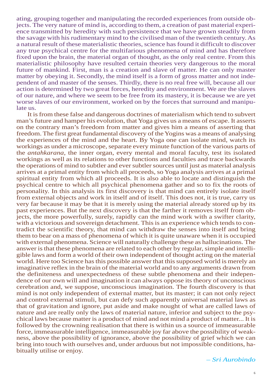ating, grouping together and manipulating the recorded experiences from outside objects. The very nature of mind is, according to them, a creation of past material experience transmitted by heredity with such persistence that we have grown steadily from the savage with his rudimentary mind to the civilised man of the twentieth century. As a natural result of these materialistic theories, science has found it difficult to discover any true psychical centre for the multifarious phenomena of mind and has therefore fixed upon the brain, the material organ of thought, as the only real centre. From this materialistic philosophy have resulted certain theories very dangerous to the moral future of mankind. First, man is a creation and slave of matter. He can only master matter by obeying it. Secondly, the mind itself is a form of gross matter and not independent of and master of the senses. Thirdly, there is no real free will, because all our action is determined by two great forces, heredity and environment. We are the slaves of our nature, and where we seem to be free from its mastery, it is because we are yet worse slaves of our environment, worked on by the forces that surround and manipulate us.

It is from these false and dangerous doctrines of materialism which tend to subvert man's future and hamper his evolution, that Yoga gives us a means of escape. It asserts on the contrary man's freedom from matter and gives him a means of asserting that freedom. The first great fundamental discovery of the Yogins was a means of analysing the experiences of the mind and the heart. By Yoga one can isolate mind, watch its workings as under a microscope, separate every minute function of the various parts of the *antahkarana*, the inner organ, every mental and moral faculty, test its isolated workings as well as its relations to other functions and faculties and trace backwards the operations of mind to subtler and ever subtler sources until just as material analysis arrives at a primal entity from which all proceeds, so Yoga analysis arrives at a primal spiritual entity from which all proceeds. It is also able to locate and distinguish the psychical centre to which all psychical phenomena gather and so to fix the roots of personality. In this analysis its first discovery is that mind can entirely isolate itself from external objects and work in itself and of itself. This does not, it is true, carry us very far because it may be that it is merely using the material already stored up by its past experiences. But the next discovery is that the farther it removes itself from objects, the more powerfully, surely, rapidly can the mind work with a swifter clarity, with a victorious and sovereign detachment. This is an experience which tends to contradict the scientific theory, that mind can withdraw the senses into itself and bring them to bear on a mass of phenomena of which it is quite unaware when it is occupied with external phenomena. Science will naturally challenge these as hallucinations. The answer is that these phenomena are related to each other by regular, simple and intelligible laws and form a world of their own independent of thought acting on the material world. Here too Science has this possible answer that this supposed world is merely an imaginative reflex in the brain of the material world and to any arguments drawn from the definiteness and unexpectedness of these subtle phenomena and their independence of our own will and imagination it can always oppose its theory of unconscious cerebration and, we suppose, unconscious imagination. The fourth discovery is that mind is not only independent of external matter, but its master; it can not only reject and control external stimuli, but can defy such apparently universal material laws as that of gravitation and ignore, put aside and make nought of what are called laws of nature and are really only the laws of material nature, inferior and subject to the psychical laws because matter is a product of mind and not mind a product of matter... It is followed by the crowning realisation that there is within us a source of immeasurable force, immeasurable intelligence, immeasurable joy far above the possibility of weakness, above the possibility of ignorance, above the possibility of grief which we can bring into touch with ourselves and, under arduous but not impossible conditions, habitually utilise or enjoy.

– *Sri Aurobindo*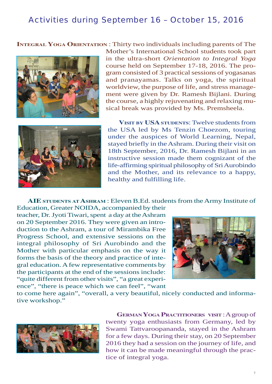# Activities during September 16 – October 15, 2016

**INTEGRAL YOGA ORIENTATION** : Thirty two individuals including parents of The



Mother's International School students took part in the ultra-short *Orientation to Integral Yoga* course held on September 17-18, 2016. The program consisted of 3 practical sessions of yogasanas and pranayamas. Talks on yoga, the spiritual worldview, the purpose of life, and stress management were given by Dr. Ramesh Bijlani. During the course, a highly rejuvenating and relaxing musical break was provided by Ms. Premsheela.



**VISIT BY USA STUDENTS**: Twelve students from the USA led by Ms Tenzin Choezom, touring under the auspices of World Learning, Nepal, stayed briefly in the Ashram. During their visit on 18th September, 2016, Dr. Ramesh Bijlani in an instructive session made them cognizant of the life-affirming spiritual philosophy of Sri Aurobindo and the Mother, and its relevance to a happy, healthy and fulfilling life.

**AIE STUDENTS AT ASHRAM** : Eleven B.Ed. students from the Army Institute of

Education, Greater NOIDA, accompanied by their teacher, Dr. Jyoti Tiwari, spent a day at the Ashram on 20 September 2016. They were given an introduction to the Ashram, a tour of Mirambika Free Progress School, and extensive sessions on the integral philosophy of Sri Aurobindo and the Mother with particular emphasis on the way it forms the basis of the theory and practice of integral education. A few representative comments by the participants at the end of the sessions include: "quite different from other visits", "a great experience", "there is peace which we can feel", "want



to come here again", "overall, a very beautiful, nicely conducted and informative workshop."



**GERMAN YOGA PRACTITIONERS** VISIT : A group of twenty yoga enthusiasts from Germany, led by Swami Tattvaroopananda, stayed in the Ashram for a few days. During their stay, on 20 September 2016 they had a session on the journey of life, and how it can be made meaningful through the practice of integral yoga.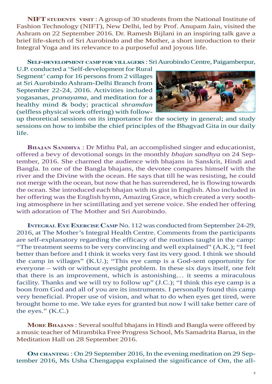**NIFT STUDENTS** VISIT : A group of 30 students from the National Institute of Fashion Technology (NIFT), New Delhi, led by Prof. Anupam Jain, visited the Ashram on 22 September 2016. Dr. Ramesh Bijlani in an inspiring talk gave a brief life-sketch of Sri Aurobindo and the Mother, a short introduction to their Integral Yoga and its relevance to a purposeful and joyous life.

**SELF-DEVELOPMENT CAMP FOR VILLAGERS** : Sri Aurobindo Centre, Paigamberpur,

U.P. conducted a 'Self-development for Rural Segment' camp for 16 persons from 2 villages at Sri Aurobindo Ashram-Delhi Branch from September 22-24, 2016. Activities included yogasanas, *pranayama*, and meditation for a healthy mind & body; practical *shramdan* (selfless physical work offering) with follow-



up theoretical sessions on its importance for the society in general; and study sessions on how to imbibe the chief principles of the Bhagvad Gita in our daily life.

**BHAJAN SANDHYA** : Dr Mithu Pal, an accomplished singer and educationist, offered a bevy of devotional songs in the monthly *bhajan sandhya* on 24 September, 2016. She charmed the audience with bhajans in Sanskrit, Hindi and Bangla. In one of the Bangla bhajans, the devotee compares himself with the river and the Divine with the ocean. He says that till he was resisting, he could not merge with the ocean, but now that he has surrendered, he is flowing towards the ocean. She introduced each bhajan with its gist in English. Also included in her offering was the English hymn, Amazing Grace, which created a very soothing atmosphere in her scintillating and yet serene voice. She ended her offering with adoration of The Mother and Sri Aurobindo.

**INTEGRAL EYE EXERCISE CAMP** No. 112 was conducted from September 24-29, 2016, at The Mother's Integral Health Centre. Comments from the participants are self-explanatory regarding the efficacy of the routines taught in the camp: "The treatment seems to be very convincing and well explained" (A.K.); "I feel better than before and I think it works very fast its very good. I think we should the camp in villages" (K.U.); "This eye camp is a God-sent opportunity for everyone – with or without eyesight problem. In these six days itself, one felt that there is an improvement, which is astonishing… it seems a miraculous facility. Thanks and we will try to follow up" (J.C.); "I think this eye camp is a boon from God and all of you are its instruments. I personally found this camp very beneficial. Proper use of vision, and what to do when eyes get tired, were brought home to me. We take eyes for granted but now I will take better care of the eyes." (K.C.)

**MORE BHAJANS** : Several soulful bhajans in Hindi and Bangla were offered by a music teacher of Mirambika Free Progress School, Ms Samadrita Barua, in the Meditation Hall on 28 September 2016.

**OM CHANTING** : On 29 September 2016, In the evening meditation on 29 September 2016, Ms Usha Chengappa explained the significance of Om, the all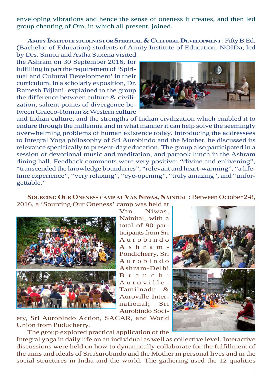enveloping vibrations and hence the sense of oneness it creates, and then led group chanting of Om, in which all present, joined.

AMITY INSTITUTE STUDENTS FOR SPIRITUAL & CULTURAL DEVELOPMENT : Fifty B.Ed. (Bachelor of Education) students of Amity Institute of Education, NOIDa, led by Drs. Smriti and Astha Saxena visited

the Ashram on 30 September 2016, for fulfilling in part the requirement of 'Spiritual and Cultural Development' in their curriculum. In a scholarly exposition, Dr. Ramesh Bijlani, explained to the group the difference between culture & civilization, salient points of divergence between Graeco-Roman & Western culture



and Indian culture, and the strengths of Indian civilization which enabled it to endure through the millennia and in what manner it can help solve the seemingly overwhelming problems of human existence today. Introducing the addressees to Integral Yoga philosophy of Sri Aurobindo and the Mother, he discussed its relevance specifically to present-day education. The group also participated in a session of devotional music and meditation, and partook lunch in the Ashram dining hall. Feedback comments were very positive: "divine and enlivening", "transcended the knowledge boundaries", "relevant and heart-warming", "a lifetime experience", "very relaxing", "eye-opening", "truly amazing", and "unforgettable."

#### **SOURCING OUR ONENESS CAMP AT VAN NIWAS, NAINITAL** : Between October 2-8, 2016, a 'Sourcing Our Oneness' camp was held at



Van Niwas, Nainital, with a total of 90 participants from Sri Aurobindo Ashram-Pondicherry, Sri Aurobindo Ashram-Delhi Branch; Auroville-Tamilnadu & Auroville International; Sri Aurobindo Soci-



ety, Sri Aurobindo Action, SACAR, and World Union from Puducherry.

The group explored practical application of the Integral yoga in daily life on an individual as well as collective level. Interactive discussions were held on how to dynamically collaborate for the fulfillment of the aims and ideals of Sri Aurobindo and the Mother in personal lives and in the social structures in India and the world. The gathering used the 12 qualities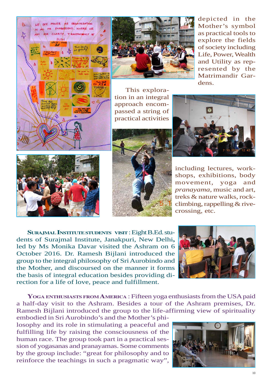



depicted in the Mother's symbol as practical tools to explore the fields of society including Life, Power, Wealth and Utility as represented by the Matrimandir Gardens.

This exploration in an integral approach encompassed a string of practical activities







including lectures, workshops, exhibitions, body movement, yoga and *pranayama*, music and art, treks & nature walks, rockclimbing, rappelling & rivecrossing, etc.

**SURAJMAL INSTITUTESTUDENTS' VISIT**: Eight B.Ed. students of Surajmal Institute, Janakpuri, New Delhi**,** led by Ms Monika Davar visited the Ashram on 6 October 2016. Dr. Ramesh Bijlani introduced the group to the integral philosophy of Sri Aurobindo and the Mother, and discoursed on the manner it forms the basis of integral education besides providing direction for a life of love, peace and fulfillment.



**YOGA ENTHUSIASTS FROM AMERICA** : Fifteen yoga enthusiasts from the USA paid a half-day visit to the Ashram. Besides a tour of the Ashram premises, Dr. Ramesh Bijlani introduced the group to the life-affirming view of spirituality

embodied in Sri Aurobindo's and the Mother's philosophy and its role in stimulating a peaceful and fulfilling life by raising the consciousness of the human race. The group took part in a practical session of yogasanas and pranayamas. Some comments by the group include: "great for philosophy and to reinforce the teachings in such a pragmatic way",

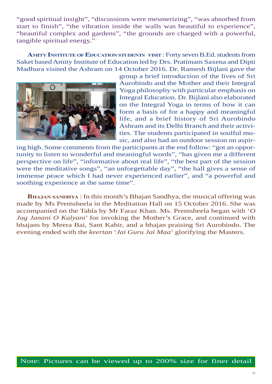"good spiritual insight", "discussions were mesmerizing", "was absorbed from start to finish", "the vibration inside the walls was beautiful to experience", "beautiful complex and gardens", "the grounds are charged with a powerful, tangible spiritual energy."

**AMITY INSTITUTE OF EDUCATION STUDENTS' VISIT** : Forty seven B.Ed. students from Saket based Amity Institute of Education led by Drs. Pratimam Saxena and Dipti Madhura visited the Ashram on 14 October 2016. Dr. Ramesh Bijlani gave the



group a brief introduction of the lives of Sri Aurobindo and the Mother and their Integral Yoga philosophy with particular emphasis on Integral Education. Dr. Bijlani also elaborated on the Integral Yoga in terms of how it can form a basis of for a happy and meaningful life, and a brief history of Sri Aurobindo Ashram and its Delhi Branch and their activities. The students participated in soulful music, and also had an outdoor session on aspir-

ing high. Some comments from the participants at the end follow: "got an opportunity to listen to wonderful and meaningful words", "has given me a different perspective on life", "informative about real life", "the best part of the session were the meditative songs", "an unforgettable day", "the hall gives a sense of immense peace which I had never experienced earlier", and "a powerful and soothing experience at the same time".

**BHAJAN SANDHYA** : In this month's Bhajan Sandhya, the musical offering was made by Ms Premsheela in the Meditation Hall on 15 October 2016. She was accompanied on the Tabla by Mr Faraz Khan. Ms. Premsheela began with '*O Jag Janani O Kalyani*' for invoking the Mother's Grace, and continued with bhajans by Meera Bai, Sant Kabir, and a bhajan praising Sri Aurobindo. The evening ended with the *keertan* '*Jai Guru Jai Maa*' glorifying the Masters.

#### Note: Pictures can be viewed up to 200% size for finer detail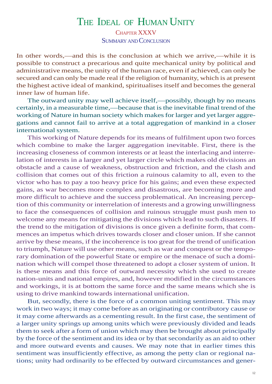## THE IDEAL OF HUMAN UNITY

CHAPTER XXXV SUMMARY AND CONCLUSION

In other words,—and this is the conclusion at which we arrive,—while it is possible to construct a precarious and quite mechanical unity by political and administrative means, the unity of the human race, even if achieved, can only be secured and can only be made real if the religion of humanity, which is at present the highest active ideal of mankind, spiritualises itself and becomes the general inner law of human life.

The outward unity may well achieve itself,—possibly, though by no means certainly, in a measurable time,—because that is the inevitable final trend of the working of Nature in human society which makes for larger and yet larger aggregations and cannot fail to arrive at a total aggregation of mankind in a closer international system.

This working of Nature depends for its means of fulfilment upon two forces which combine to make the larger aggregation inevitable. First, there is the increasing closeness of common interests or at least the interlacing and interrelation of interests in a larger and yet larger circle which makes old divisions an obstacle and a cause of weakness, obstruction and friction, and the clash and collision that comes out of this friction a ruinous calamity to all, even to the victor who has to pay a too heavy price for his gains; and even these expected gains, as war becomes more complex and disastrous, are becoming more and more difficult to achieve and the success problematical. An increasing perception of this community or interrelation of interests and a growing unwillingness to face the consequences of collision and ruinous struggle must push men to welcome any means for mitigating the divisions which lead to such disasters. If the trend to the mitigation of divisions is once given a definite form, that commences an impetus which drives towards closer and closer union. If she cannot arrive by these means, if the incoherence is too great for the trend of unification to triumph, Nature will use other means, such as war and conquest or the temporary domination of the powerful State or empire or the menace of such a domination which will compel those threatened to adopt a closer system of union. It is these means and this force of outward necessity which she used to create nation-units and national empires, and, however modified in the circumstances and workings, it is at bottom the same force and the same means which she is using to drive mankind towards international unification.

But, secondly, there is the force of a common uniting sentiment. This may work in two ways; it may come before as an originating or contributory cause or it may come afterwards as a cementing result. In the first case, the sentiment of a larger unity springs up among units which were previously divided and leads them to seek after a form of union which may then be brought about principally by the force of the sentiment and its idea or by that secondarily as an aid to other and more outward events and causes. We may note that in earlier times this sentiment was insufficiently effective, as among the petty clan or regional nations; unity had ordinarily to be effected by outward circumstances and gener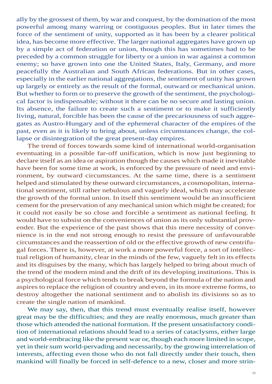ally by the grossest of them, by war and conquest, by the domination of the most powerful among many warring or contiguous peoples. But in later times the force of the sentiment of unity, supported as it has been by a clearer political idea, has become more effective. The larger national aggregates have grown up by a simple act of federation or union, though this has sometimes had to be preceded by a common struggle for liberty or a union in war against a common enemy; so have grown into one the United States, Italy, Germany, and more peacefully the Australian and South African federations. But in other cases, especially in the earlier national aggregations, the sentiment of unity has grown up largely or entirely as the result of the formal, outward or mechanical union. But whether to form or to preserve the growth of the sentiment, the psychological factor is indispensable; without it there can be no secure and lasting union. Its absence, the failure to create such a sentiment or to make it sufficiently living, natural, forcible has been the cause of the precariousness of such aggregates as Austro-Hungary and of the ephemeral character of the empires of the past, even as it is likely to bring about, unless circumstances change, the collapse or disintegration of the great present-day empires.

The trend of forces towards some kind of international world-organisation eventuating in a possible far-off unification, which is now just beginning to declare itself as an idea or aspiration though the causes which made it inevitable have been for some time at work, is enforced by the pressure of need and environment, by outward circumstances. At the same time, there is a sentiment helped and stimulated by these outward circumstances, a cosmopolitan, international sentiment, still rather nebulous and vaguely ideal, which may accelerate the growth of the formal union. In itself this sentiment would be an insufficient cement for the preservation of any mechanical union which might be created; for it could not easily be so close and forcible a sentiment as national feeling. It would have to subsist on the conveniences of union as its only substantial provender. But the experience of the past shows that this mere necessity of convenience is in the end not strong enough to resist the pressure of unfavourable circumstances and the reassertion of old or the effective growth of new centrifugal forces. There is, however, at work a more powerful force, a sort of intellectual religion of humanity, clear in the minds of the few, vaguely felt in its effects and its disguises by the many, which has largely helped to bring about much of the trend of the modern mind and the drift of its developing institutions. This is a psychological force which tends to break beyond the formula of the nation and aspires to replace the religion of country and even, in its more extreme forms, to destroy altogether the national sentiment and to abolish its divisions so as to create the single nation of mankind.

We may say, then, that this trend must eventually realise itself, however great may be the difficulties; and they are really enormous, much greater than those which attended the national formation. If the present unsatisfactory condition of international relations should lead to a series of cataclysms, either large and world-embracing like the present war or, though each more limited in scope, yet in their sum world-pervading and necessarily, by the growing interrelation of interests, affecting even those who do not fall directly under their touch, then mankind will finally be forced in self-defence to a new, closer and more strin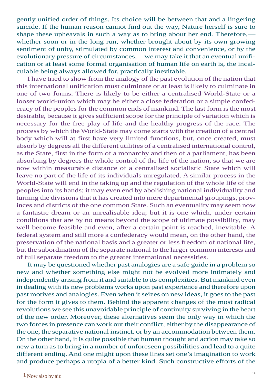gently unified order of things. Its choice will be between that and a lingering suicide. If the human reason cannot find out the way, Nature herself is sure to shape these upheavals in such a way as to bring about her end. Therefore, whether soon or in the long run, whether brought about by its own growing sentiment of unity, stimulated by common interest and convenience, or by the evolutionary pressure of circumstances,—we may take it that an eventual unification or at least some formal organisation of human life on earth is, the incalculable being always allowed for, practically inevitable.

I have tried to show from the analogy of the past evolution of the nation that this international unification must culminate or at least is likely to culminate in one of two forms. There is likely to be either a centralised World-State or a looser world-union which may be either a close federation or a simple confederacy of the peoples for the common ends of mankind. The last form is the most desirable, because it gives sufficient scope for the principle of variation which is necessary for the free play of life and the healthy progress of the race. The process by which the World-State may come starts with the creation of a central body which will at first have very limited functions, but, once created, must absorb by degrees all the different utilities of a centralised international control, as the State, first in the form of a monarchy and then of a parliament, has been absorbing by degrees the whole control of the life of the nation, so that we are now within measurable distance of a centralised socialistic State which will leave no part of the life of its individuals unregulated. A similar process in the World-State will end in the taking up and the regulation of the whole life of the peoples into its hands; it may even end by abolishing national individuality and turning the divisions that it has created into mere departmental groupings, provinces and districts of the one common State. Such an eventuality may seem now a fantastic dream or an unrealisable idea; but it is one which, under certain conditions that are by no means beyond the scope of ultimate possibility, may well become feasible and even, after a certain point is reached, inevitable. A federal system and still more a confederacy would mean, on the other hand, the preservation of the national basis and a greater or less freedom of national life, but the subordination of the separate national to the larger common interests and of full separate freedom to the greater international necessities.

It may be questioned whether past analogies are a safe guide in a problem so new and whether something else might not be evolved more intimately and independently arising from it and suitable to its complexities. But mankind even in dealing with its new problems works upon past experience and therefore upon past motives and analogies. Even when it seizes on new ideas, it goes to the past for the form it gives to them. Behind the apparent changes of the most radical revolutions we see this unavoidable principle of continuity surviving in the heart of the new order. Moreover, these alternatives seem the only way in which the two forces in presence can work out their conflict, either by the disappearance of the one, the separative national instinct, or by an accommodation between them. On the other hand, it is quite possible that human thought and action may take so new a turn as to bring in a number of unforeseen possibilities and lead to a quite different ending. And one might upon these lines set one's imagination to work and produce perhaps a utopia of a better kind. Such constructive efforts of the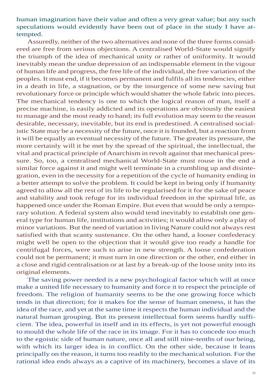human imagination have their value and often a very great value; but any such speculations would evidently have been out of place in the study I have attempted.

Assuredly, neither of the two alternatives and none of the three forms considered are free from serious objections. A centralised World-State would signify the triumph of the idea of mechanical unity or rather of uniformity. It would inevitably mean the undue depression of an indispensable element in the vigour of human life and progress, the free life of the individual, the free variation of the peoples. It must end, if it becomes permanent and fulfils all its tendencies, either in a death in life, a stagnation, or by the insurgence of some new saving but revolutionary force or principle which would shatter the whole fabric into pieces. The mechanical tendency is one to which the logical reason of man, itself a precise machine, is easily addicted and its operations are obviously the easiest to manage and the most ready to hand; its full evolution may seem to the reason desirable, necessary, inevitable, but its end is predestined. A centralised socialistic State may be a necessity of the future, once it is founded, but a reaction from it will be equally an eventual necessity of the future. The greater its pressure, the more certainly will it be met by the spread of the spiritual, the intellectual, the vital and practical principle of Anarchism in revolt against that mechanical pressure. So, too, a centralised mechanical World-State must rouse in the end a similar force against it and might well terminate in a crumbling up and disintegration, even in the necessity for a repetition of the cycle of humanity ending in a better attempt to solve the problem. It could be kept in being only if humanity agreed to allow all the rest of its life to be regularised for it for the sake of peace and stability and took refuge for its individual freedom in the spiritual life, as happened once under the Roman Empire. But even that would be only a temporary solution. A federal system also would tend inevitably to establish one general type for human life, institutions and activities; it would allow only a play of minor variations. But the need of variation in living Nature could not always rest satisfied with that scanty sustenance. On the other hand, a looser confederacy might well be open to the objection that it would give too ready a handle for centrifugal forces, were such to arise in new strength. A loose confederation could not be permanent; it must turn in one direction or the other, end either in a close and rigid centralisation or at last by a break-up of the loose unity into its original elements.

The saving power needed is a new psychological factor which will at once make a united life necessary to humanity and force it to respect the principle of freedom. The religion of humanity seems to be the one growing force which tends in that direction; for it makes for the sense of human oneness, it has the idea of the race, and yet at the same time it respects the human individual and the natural human grouping. But its present intellectual form seems hardly sufficient. The idea, powerful in itself and in its effects, is yet not powerful enough to mould the whole life of the race in its image. For it has to concede too much to the egoistic side of human nature, once all and still nine-tenths of our being, with which its larger idea is in conflict. On the other side, because it leans principally on the reason, it turns too readily to the mechanical solution. For the rational idea ends always as a captive of its machinery, becomes a slave of its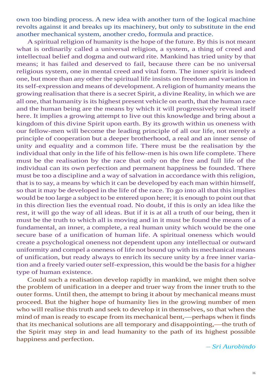own too binding process. A new idea with another turn of the logical machine revolts against it and breaks up its machinery, but only to substitute in the end another mechanical system, another credo, formula and practice.

A spiritual religion of humanity is the hope of the future. By this is not meant what is ordinarily called a universal religion, a system, a thing of creed and intellectual belief and dogma and outward rite. Mankind has tried unity by that means; it has failed and deserved to fail, because there can be no universal religious system, one in mental creed and vital form. The inner spirit is indeed one, but more than any other the spiritual life insists on freedom and variation in its self-expression and means of development. A religion of humanity means the growing realisation that there is a secret Spirit, a divine Reality, in which we are all one, that humanity is its highest present vehicle on earth, that the human race and the human being are the means by which it will progressively reveal itself here. It implies a growing attempt to live out this knowledge and bring about a kingdom of this divine Spirit upon earth. By its growth within us oneness with our fellow-men will become the leading principle of all our life, not merely a principle of cooperation but a deeper brotherhood, a real and an inner sense of unity and equality and a common life. There must be the realisation by the individual that only in the life of his fellow-men is his own life complete. There must be the realisation by the race that only on the free and full life of the individual can its own perfection and permanent happiness be founded. There must be too a discipline and a way of salvation in accordance with this religion, that is to say, a means by which it can be developed by each man within himself, so that it may be developed in the life of the race. To go into all that this implies would be too large a subject to be entered upon here; it is enough to point out that in this direction lies the eventual road. No doubt, if this is only an idea like the rest, it will go the way of all ideas. But if it is at all a truth of our being, then it must be the truth to which all is moving and in it must be found the means of a fundamental, an inner, a complete, a real human unity which would be the one secure base of a unification of human life. A spiritual oneness which would create a psychological oneness not dependent upon any intellectual or outward uniformity and compel a oneness of life not bound up with its mechanical means of unification, but ready always to enrich its secure unity by a free inner variation and a freely varied outer self-expression, this would be the basis for a higher type of human existence.

Could such a realisation develop rapidly in mankind, we might then solve the problem of unification in a deeper and truer way from the inner truth to the outer forms. Until then, the attempt to bring it about by mechanical means must proceed. But the higher hope of humanity lies in the growing number of men who will realise this truth and seek to develop it in themselves, so that when the mind of man is ready to escape from its mechanical bent,—perhaps when it finds that its mechanical solutions are all temporary and disappointing,—the truth of the Spirit may step in and lead humanity to the path of its highest possible happiness and perfection.

– *Sri Aurobindo*